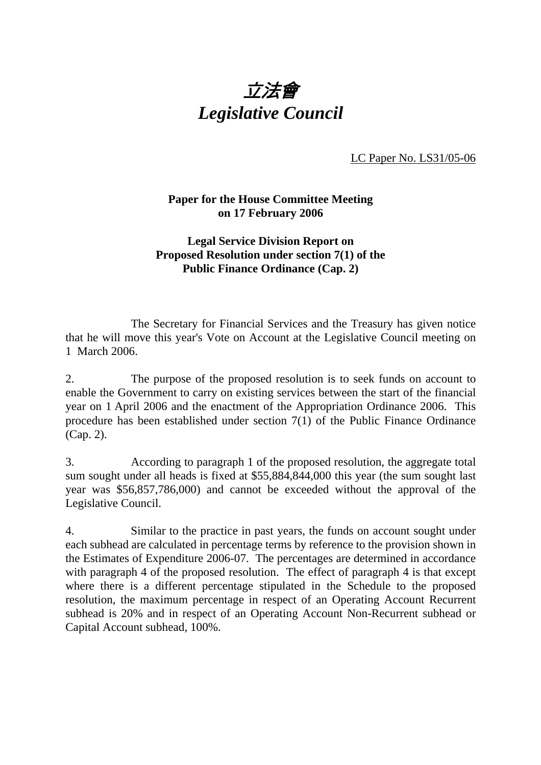

LC Paper No. LS31/05-06

## **Paper for the House Committee Meeting on 17 February 2006**

## **Legal Service Division Report on Proposed Resolution under section 7(1) of the Public Finance Ordinance (Cap. 2)**

 The Secretary for Financial Services and the Treasury has given notice that he will move this year's Vote on Account at the Legislative Council meeting on 1 March 2006.

2. The purpose of the proposed resolution is to seek funds on account to enable the Government to carry on existing services between the start of the financial year on 1 April 2006 and the enactment of the Appropriation Ordinance 2006. This procedure has been established under section 7(1) of the Public Finance Ordinance (Cap. 2).

3. According to paragraph 1 of the proposed resolution, the aggregate total sum sought under all heads is fixed at \$55,884,844,000 this year (the sum sought last year was \$56,857,786,000) and cannot be exceeded without the approval of the Legislative Council.

4. Similar to the practice in past years, the funds on account sought under each subhead are calculated in percentage terms by reference to the provision shown in the Estimates of Expenditure 2006-07. The percentages are determined in accordance with paragraph 4 of the proposed resolution. The effect of paragraph 4 is that except where there is a different percentage stipulated in the Schedule to the proposed resolution, the maximum percentage in respect of an Operating Account Recurrent subhead is 20% and in respect of an Operating Account Non-Recurrent subhead or Capital Account subhead, 100%.